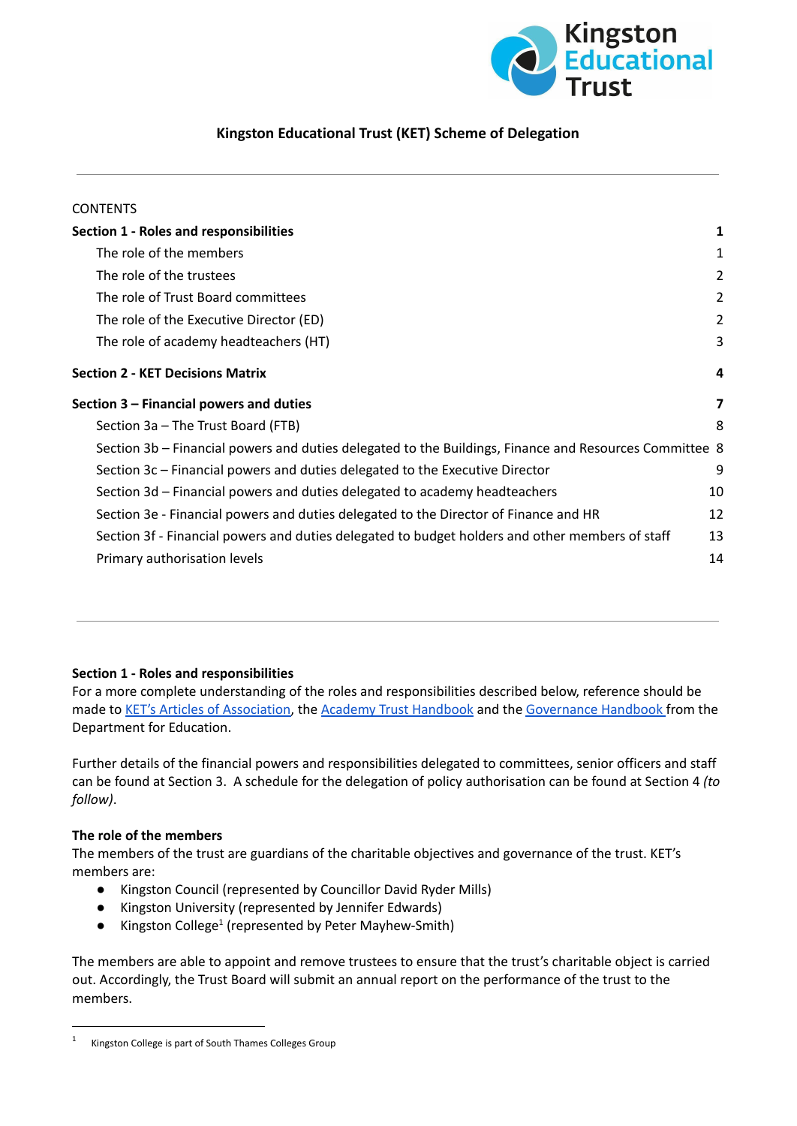

# **Kingston Educational Trust (KET) Scheme of Delegation**

| <b>CONTENTS</b>                                                                                        |                         |
|--------------------------------------------------------------------------------------------------------|-------------------------|
| <b>Section 1 - Roles and responsibilities</b>                                                          | 1                       |
| The role of the members                                                                                | 1                       |
| The role of the trustees                                                                               | 2                       |
| The role of Trust Board committees                                                                     | 2                       |
| The role of the Executive Director (ED)                                                                | 2                       |
| The role of academy headteachers (HT)                                                                  | 3                       |
| <b>Section 2 - KET Decisions Matrix</b>                                                                | 4                       |
| Section 3 – Financial powers and duties                                                                | $\overline{\mathbf{z}}$ |
| Section 3a - The Trust Board (FTB)                                                                     | 8                       |
| Section 3b – Financial powers and duties delegated to the Buildings, Finance and Resources Committee 8 |                         |
| Section 3c – Financial powers and duties delegated to the Executive Director                           | 9                       |
| Section 3d – Financial powers and duties delegated to academy headteachers                             | 10                      |
| Section 3e - Financial powers and duties delegated to the Director of Finance and HR                   | 12                      |
| Section 3f - Financial powers and duties delegated to budget holders and other members of staff        | 13                      |
| Primary authorisation levels                                                                           | 14                      |

# <span id="page-0-0"></span>**Section 1 - Roles and responsibilities**

For a more complete understanding of the roles and responsibilities described below, reference should be made to KET's Articles of [Association,](https://www.thekingstonacademy.org/wp-content/uploads/2015/11/KET-ARTICLES.pdf) the Academy Trust [Handbook](https://www.gov.uk/guidance/academies-financial-handbook) and the [Governance](https://www.gov.uk/government/publications/governance-handbook) Handbook from the Department for Education.

Further details of the financial powers and responsibilities delegated to committees, senior officers and staff can be found at Section 3. A schedule for the delegation of policy authorisation can be found at Section 4 *(to follow)*.

# <span id="page-0-1"></span>**The role of the members**

The members of the trust are guardians of the charitable objectives and governance of the trust. KET's members are:

- Kingston Council (represented by Councillor David Ryder Mills)
- Kingston University (represented by Jennifer Edwards)
- Kingston College<sup>1</sup> (represented by Peter Mayhew-Smith)

The members are able to appoint and remove trustees to ensure that the trust's charitable object is carried out. Accordingly, the Trust Board will submit an annual report on the performance of the trust to the members.

Kingston College is part of South Thames Colleges Group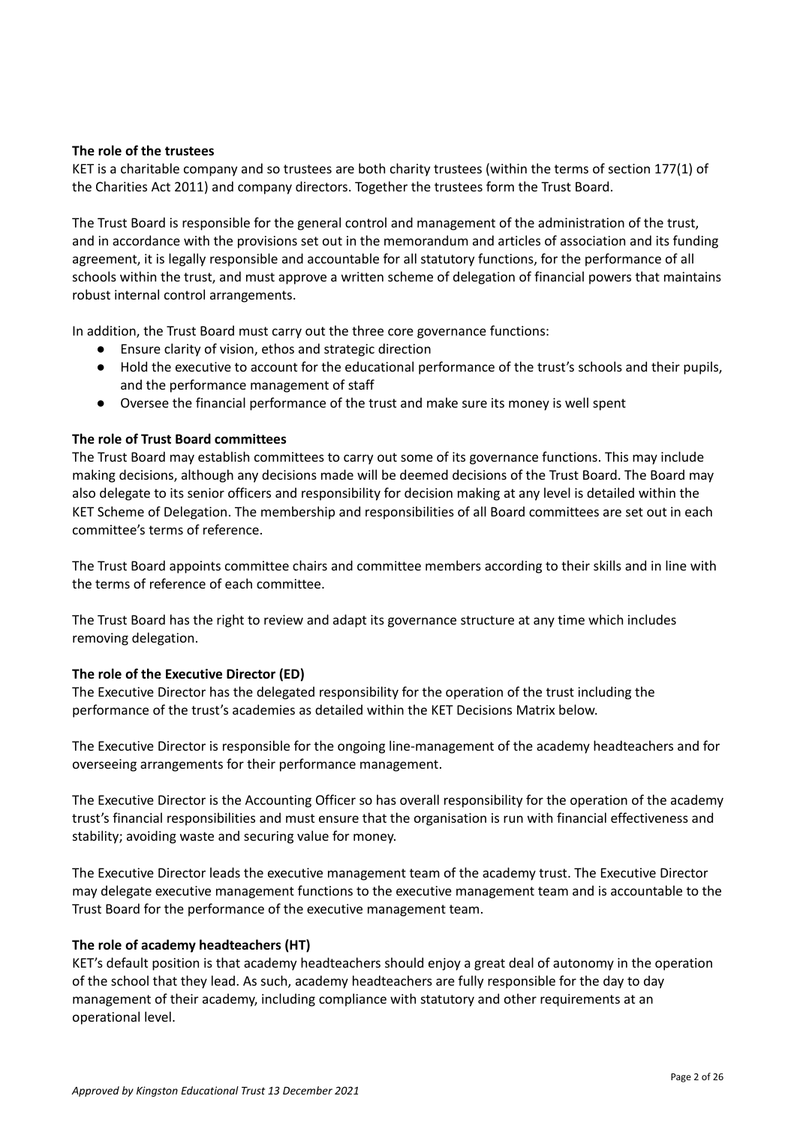# <span id="page-1-0"></span>**The role of the trustees**

KET is a charitable company and so trustees are both charity trustees (within the terms of section 177(1) of the Charities Act 2011) and company directors. Together the trustees form the Trust Board.

The Trust Board is responsible for the general control and management of the administration of the trust, and in accordance with the provisions set out in the memorandum and articles of association and its funding agreement, it is legally responsible and accountable for all statutory functions, for the performance of all schools within the trust, and must approve a written scheme of delegation of financial powers that maintains robust internal control arrangements.

In addition, the Trust Board must carry out the three core governance functions:

- Ensure clarity of vision, ethos and strategic direction
- Hold the executive to account for the educational performance of the trust's schools and their pupils, and the performance management of staff
- Oversee the financial performance of the trust and make sure its money is well spent

# <span id="page-1-1"></span>**The role of Trust Board committees**

The Trust Board may establish committees to carry out some of its governance functions. This may include making decisions, although any decisions made will be deemed decisions of the Trust Board. The Board may also delegate to its senior officers and responsibility for decision making at any level is detailed within the KET Scheme of Delegation. The membership and responsibilities of all Board committees are set out in each committee's terms of reference.

The Trust Board appoints committee chairs and committee members according to their skills and in line with the terms of reference of each committee.

The Trust Board has the right to review and adapt its governance structure at any time which includes removing delegation.

# <span id="page-1-2"></span>**The role of the Executive Director (ED)**

The Executive Director has the delegated responsibility for the operation of the trust including the performance of the trust's academies as detailed within the KET Decisions Matrix below.

The Executive Director is responsible for the ongoing line-management of the academy headteachers and for overseeing arrangements for their performance management.

The Executive Director is the Accounting Officer so has overall responsibility for the operation of the academy trust's financial responsibilities and must ensure that the organisation is run with financial effectiveness and stability; avoiding waste and securing value for money.

The Executive Director leads the executive management team of the academy trust. The Executive Director may delegate executive management functions to the executive management team and is accountable to the Trust Board for the performance of the executive management team.

# <span id="page-1-3"></span>**The role of academy headteachers (HT)**

KET's default position is that academy headteachers should enjoy a great deal of autonomy in the operation of the school that they lead. As such, academy headteachers are fully responsible for the day to day management of their academy, including compliance with statutory and other requirements at an operational level.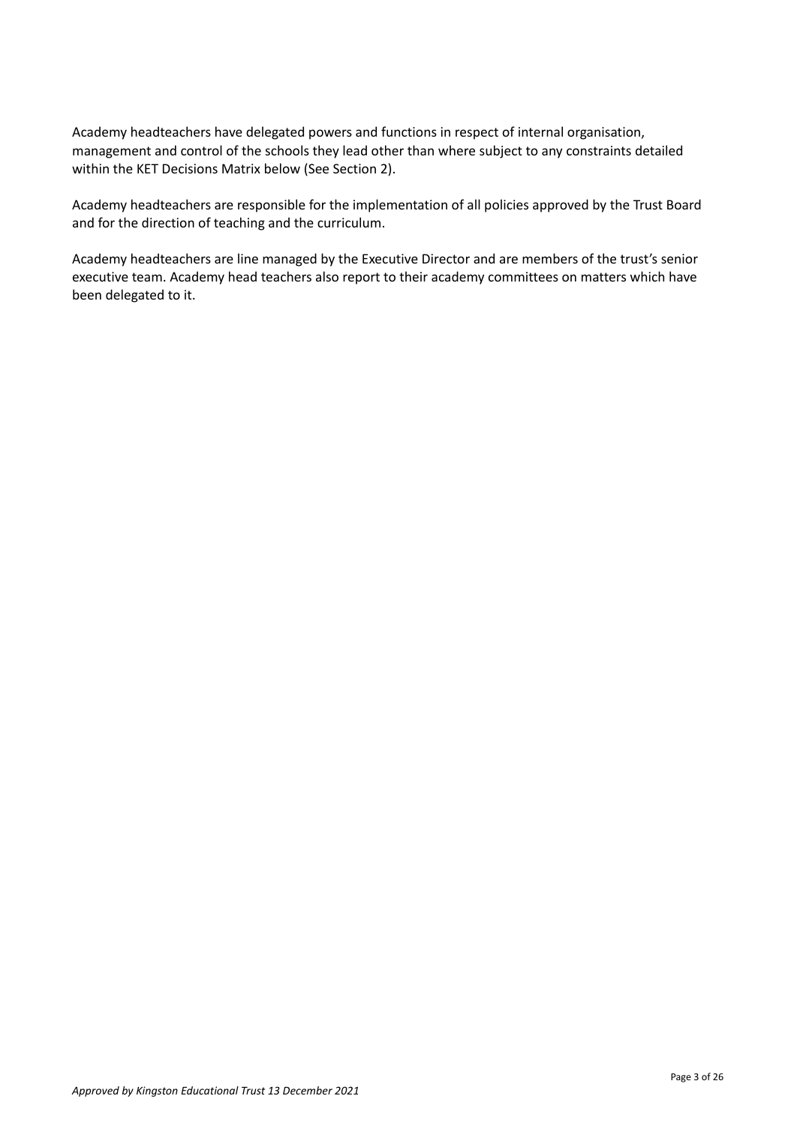Academy headteachers have delegated powers and functions in respect of internal organisation, management and control of the schools they lead other than where subject to any constraints detailed within the KET Decisions Matrix below (See Section 2).

Academy headteachers are responsible for the implementation of all policies approved by the Trust Board and for the direction of teaching and the curriculum.

Academy headteachers are line managed by the Executive Director and are members of the trust's senior executive team. Academy head teachers also report to their academy committees on matters which have been delegated to it.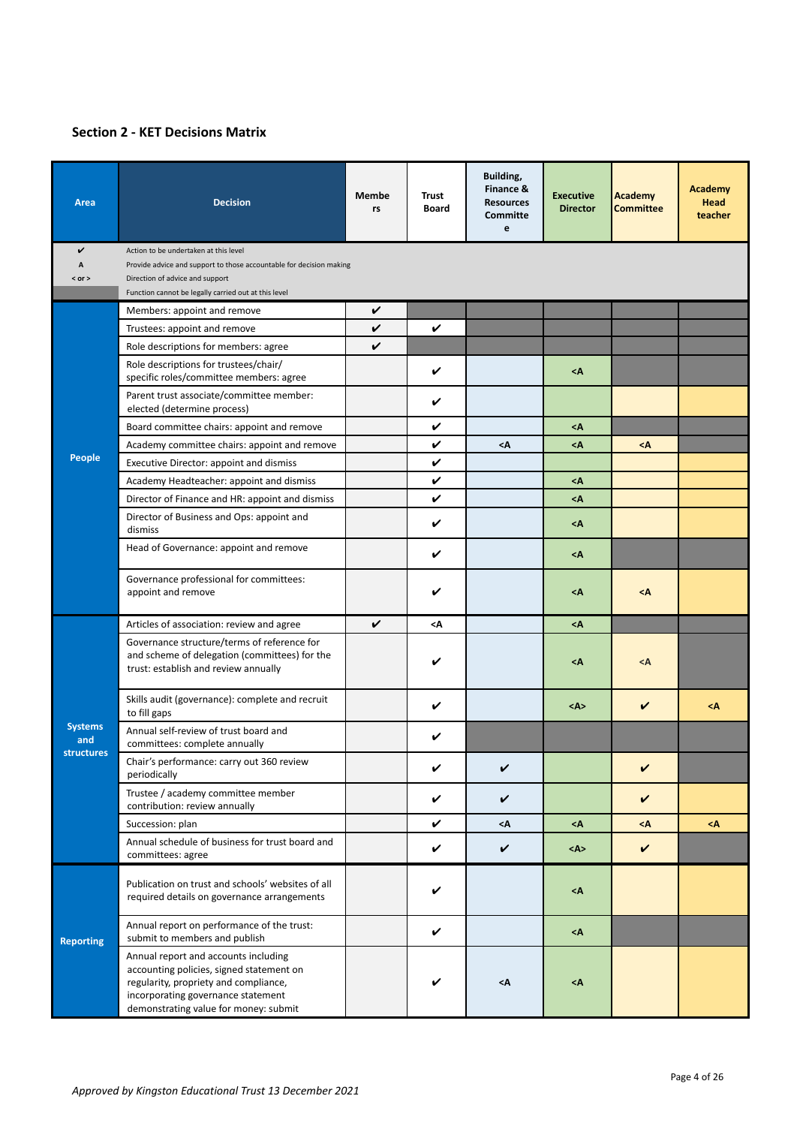# <span id="page-3-0"></span>**Section 2 - KET Decisions Matrix**

| Area                                       | <b>Decision</b>                                                                                                                                                                                          | Membe<br>rs | <b>Trust</b><br><b>Board</b> | Building,<br>Finance &<br><b>Resources</b><br><b>Committe</b><br>e | <b>Executive</b><br><b>Director</b> | <b>Academy</b><br><b>Committee</b> | Academy<br><b>Head</b><br>teacher |
|--------------------------------------------|----------------------------------------------------------------------------------------------------------------------------------------------------------------------------------------------------------|-------------|------------------------------|--------------------------------------------------------------------|-------------------------------------|------------------------------------|-----------------------------------|
| V                                          | Action to be undertaken at this level                                                                                                                                                                    |             |                              |                                                                    |                                     |                                    |                                   |
| A                                          | Provide advice and support to those accountable for decision making                                                                                                                                      |             |                              |                                                                    |                                     |                                    |                                   |
| $<$ or $>$                                 | Direction of advice and support<br>Function cannot be legally carried out at this level                                                                                                                  |             |                              |                                                                    |                                     |                                    |                                   |
|                                            | V<br>Members: appoint and remove                                                                                                                                                                         |             |                              |                                                                    |                                     |                                    |                                   |
|                                            | Trustees: appoint and remove                                                                                                                                                                             | V           | V                            |                                                                    |                                     |                                    |                                   |
|                                            | Role descriptions for members: agree                                                                                                                                                                     | V           |                              |                                                                    |                                     |                                    |                                   |
|                                            | Role descriptions for trustees/chair/                                                                                                                                                                    |             | V                            |                                                                    | $\leq$ A                            |                                    |                                   |
|                                            | specific roles/committee members: agree                                                                                                                                                                  |             |                              |                                                                    |                                     |                                    |                                   |
|                                            | Parent trust associate/committee member:<br>elected (determine process)                                                                                                                                  |             | V                            |                                                                    |                                     |                                    |                                   |
|                                            | Board committee chairs: appoint and remove                                                                                                                                                               |             | V                            |                                                                    | <Α                                  |                                    |                                   |
|                                            | Academy committee chairs: appoint and remove                                                                                                                                                             |             | V                            | <Α                                                                 | <Α                                  | <Λ                                 |                                   |
| <b>People</b>                              | Executive Director: appoint and dismiss                                                                                                                                                                  |             | V                            |                                                                    |                                     |                                    |                                   |
|                                            | Academy Headteacher: appoint and dismiss                                                                                                                                                                 |             | V                            |                                                                    | <Α                                  |                                    |                                   |
|                                            | Director of Finance and HR: appoint and dismiss                                                                                                                                                          |             | V                            |                                                                    | $<\Lambda$                          |                                    |                                   |
|                                            | Director of Business and Ops: appoint and<br>dismiss                                                                                                                                                     |             | V                            |                                                                    | <Α                                  |                                    |                                   |
|                                            | Head of Governance: appoint and remove                                                                                                                                                                   |             | V                            |                                                                    | <Α                                  |                                    |                                   |
|                                            | Governance professional for committees:<br>appoint and remove                                                                                                                                            |             | V                            |                                                                    | <Α                                  | <Λ                                 |                                   |
|                                            | Articles of association: review and agree                                                                                                                                                                | V           | <۸                           |                                                                    | <Α                                  |                                    |                                   |
|                                            | Governance structure/terms of reference for<br>and scheme of delegation (committees) for the<br>trust: establish and review annually                                                                     |             | V                            |                                                                    | <Α                                  | $<$ A                              |                                   |
|                                            | Skills audit (governance): complete and recruit<br>to fill gaps                                                                                                                                          |             | V                            |                                                                    | $<\wedge>$                          | V                                  | $\leq$ $\wedge$                   |
| <b>Systems</b><br>and<br><b>structures</b> | Annual self-review of trust board and<br>committees: complete annually                                                                                                                                   |             | V                            |                                                                    |                                     |                                    |                                   |
|                                            | Chair's performance: carry out 360 review<br>periodically                                                                                                                                                |             | V                            | V                                                                  |                                     | V                                  |                                   |
|                                            | Trustee / academy committee member<br>contribution: review annually                                                                                                                                      |             | $\checkmark$                 | V                                                                  |                                     | $\checkmark$                       |                                   |
|                                            | Succession: plan                                                                                                                                                                                         |             | V                            | <Α                                                                 | <Α                                  | <Λ                                 | $<$ A                             |
|                                            | Annual schedule of business for trust board and<br>committees: agree                                                                                                                                     |             | V                            | V                                                                  | <a></a>                             | V                                  |                                   |
|                                            | Publication on trust and schools' websites of all<br>required details on governance arrangements                                                                                                         |             | V                            |                                                                    | <Α                                  |                                    |                                   |
| <b>Reporting</b>                           | Annual report on performance of the trust:<br>submit to members and publish                                                                                                                              |             | V                            |                                                                    | <Α                                  |                                    |                                   |
|                                            | Annual report and accounts including<br>accounting policies, signed statement on<br>regularity, propriety and compliance,<br>incorporating governance statement<br>demonstrating value for money: submit |             | V                            | $\triangleleft$                                                    | <Α                                  |                                    |                                   |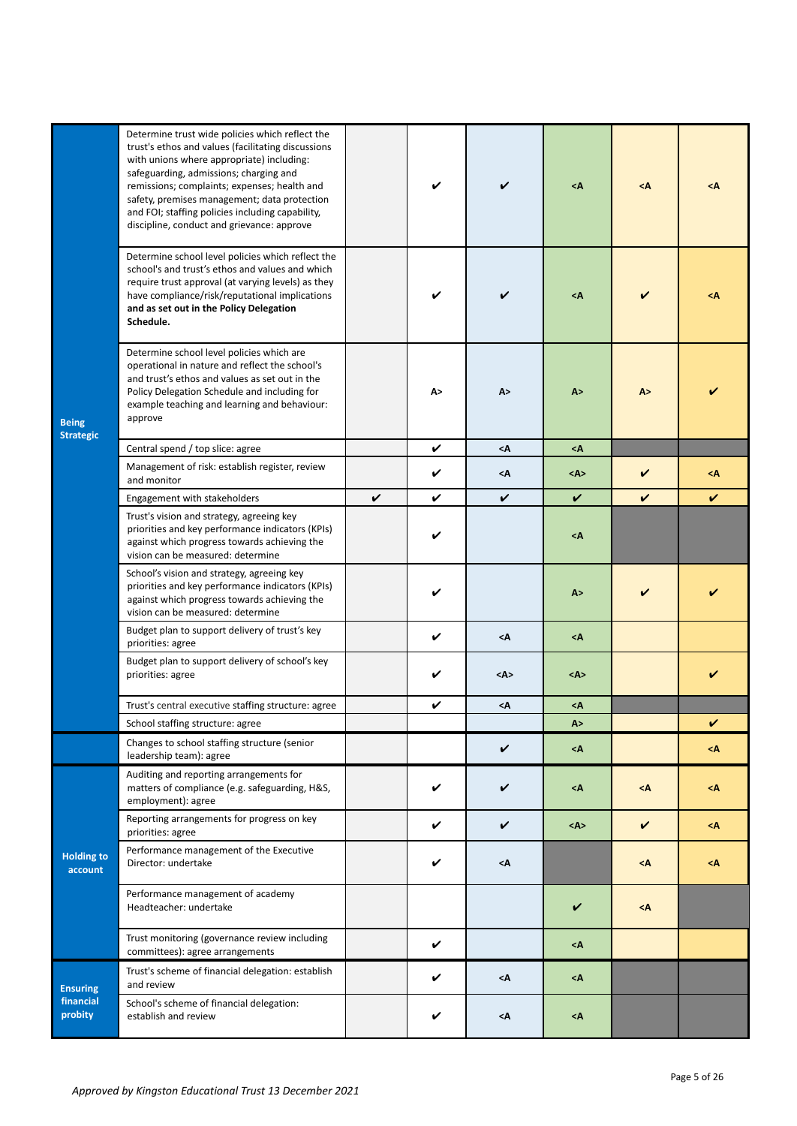|                                  | Determine trust wide policies which reflect the<br>trust's ethos and values (facilitating discussions<br>with unions where appropriate) including:<br>safeguarding, admissions; charging and<br>remissions; complaints; expenses; health and<br>safety, premises management; data protection<br>and FOI; staffing policies including capability,<br>discipline, conduct and grievance: approve |   | V  | V               | $<\Lambda$              | $<\Lambda$ | <Λ           |
|----------------------------------|------------------------------------------------------------------------------------------------------------------------------------------------------------------------------------------------------------------------------------------------------------------------------------------------------------------------------------------------------------------------------------------------|---|----|-----------------|-------------------------|------------|--------------|
|                                  | Determine school level policies which reflect the<br>school's and trust's ethos and values and which<br>require trust approval (at varying levels) as they<br>have compliance/risk/reputational implications<br>and as set out in the Policy Delegation<br>Schedule.                                                                                                                           |   |    |                 | <Α                      |            | <۸           |
| <b>Being</b><br><b>Strategic</b> | Determine school level policies which are<br>operational in nature and reflect the school's<br>and trust's ethos and values as set out in the<br>Policy Delegation Schedule and including for<br>example teaching and learning and behaviour:<br>approve                                                                                                                                       |   | A> | A>              | A>                      | A >        |              |
|                                  | Central spend / top slice: agree                                                                                                                                                                                                                                                                                                                                                               |   | V  | $<\Lambda$      | $\leq$ A                |            |              |
|                                  | Management of risk: establish register, review<br>and monitor                                                                                                                                                                                                                                                                                                                                  |   | V  | $\triangleleft$ | $<\mathsf{A}\mathsf{>}$ | V          | <Λ           |
|                                  | Engagement with stakeholders                                                                                                                                                                                                                                                                                                                                                                   | V | V  | V               | V                       | ✓          | $\checkmark$ |
|                                  | Trust's vision and strategy, agreeing key<br>priorities and key performance indicators (KPIs)<br>against which progress towards achieving the<br>vision can be measured: determine                                                                                                                                                                                                             |   | V  |                 | <Α                      |            |              |
|                                  | School's vision and strategy, agreeing key<br>priorities and key performance indicators (KPIs)<br>against which progress towards achieving the<br>vision can be measured: determine                                                                                                                                                                                                            |   | V  |                 | A>                      | V          |              |
|                                  | Budget plan to support delivery of trust's key<br>priorities: agree                                                                                                                                                                                                                                                                                                                            |   | V  | $<$ A           | <Α                      |            |              |
|                                  | Budget plan to support delivery of school's key<br>priorities: agree                                                                                                                                                                                                                                                                                                                           |   | V  | <a></a>         | <a></a>                 |            |              |
|                                  | Trust's central executive staffing structure: agree                                                                                                                                                                                                                                                                                                                                            |   | V  | $\leq$ $\wedge$ | <۸                      |            |              |
|                                  | School staffing structure: agree                                                                                                                                                                                                                                                                                                                                                               |   |    |                 | A >                     |            | V            |
|                                  | Changes to school staffing structure (senior<br>leadership team): agree                                                                                                                                                                                                                                                                                                                        |   |    | V               | <Α                      |            | <Λ           |
|                                  | Auditing and reporting arrangements for<br>matters of compliance (e.g. safeguarding, H&S,<br>employment): agree                                                                                                                                                                                                                                                                                |   | V  | V               | <Α                      | <Λ         | <۸           |
|                                  | Reporting arrangements for progress on key<br>priorities: agree                                                                                                                                                                                                                                                                                                                                |   | V  | V               | $<\mathsf{A}\geq$       | V          | <Α           |
| <b>Holding to</b><br>account     | Performance management of the Executive<br>Director: undertake                                                                                                                                                                                                                                                                                                                                 |   | V  | <Α              |                         | <Λ         | <Λ           |
|                                  | Performance management of academy<br>Headteacher: undertake                                                                                                                                                                                                                                                                                                                                    |   |    |                 | V                       | $<$ A      |              |
|                                  | Trust monitoring (governance review including<br>committees): agree arrangements                                                                                                                                                                                                                                                                                                               |   | V  |                 | <Α                      |            |              |
| <b>Ensuring</b>                  | Trust's scheme of financial delegation: establish<br>and review                                                                                                                                                                                                                                                                                                                                |   | V  | $<$ $\wedge$    | <Α                      |            |              |
| financial<br>probity             | School's scheme of financial delegation:<br>establish and review                                                                                                                                                                                                                                                                                                                               |   | V  | <Α              | <۸                      |            |              |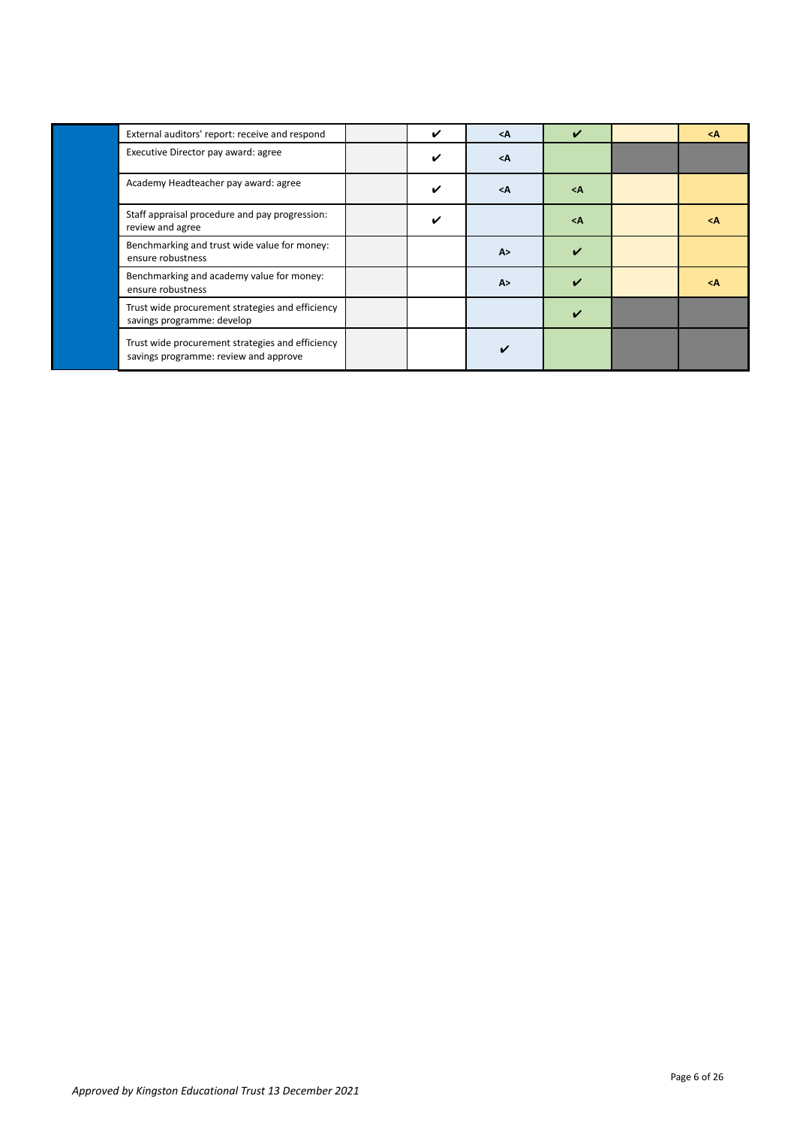| External auditors' report: receive and respond                                            | ✓ | $<$ A | $\boldsymbol{\nu}$ | <Λ              |
|-------------------------------------------------------------------------------------------|---|-------|--------------------|-----------------|
| Executive Director pay award: agree                                                       | ✓ | $<$ A |                    |                 |
| Academy Headteacher pay award: agree                                                      | ✓ | $<$ A | $<$ A              |                 |
| Staff appraisal procedure and pay progression:<br>review and agree                        | V |       | $\leq$ $\wedge$    | $\leq$ $\wedge$ |
| Benchmarking and trust wide value for money:<br>ensure robustness                         |   | A >   |                    |                 |
| Benchmarking and academy value for money:<br>ensure robustness                            |   | A >   |                    | <Α              |
| Trust wide procurement strategies and efficiency<br>savings programme: develop            |   |       |                    |                 |
| Trust wide procurement strategies and efficiency<br>savings programme: review and approve |   |       |                    |                 |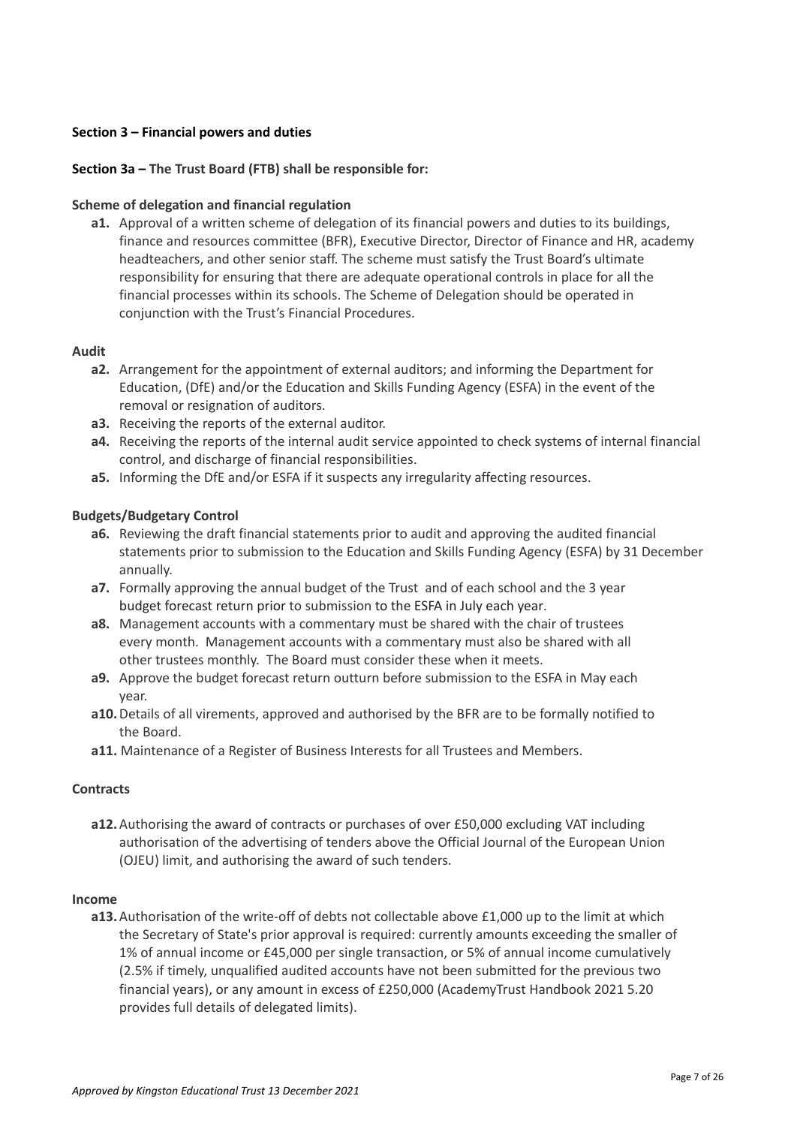# <span id="page-6-0"></span>**Section 3 – Financial powers and duties**

# <span id="page-6-1"></span>**Section 3a – The Trust Board (FTB) shall be responsible for:**

## **Scheme of delegation and financial regulation**

**a1.** Approval of a written scheme of delegation of its financial powers and duties to its buildings, finance and resources committee (BFR), Executive Director, Director of Finance and HR, academy headteachers, and other senior staff. The scheme must satisfy the Trust Board's ultimate responsibility for ensuring that there are adequate operational controls in place for all the financial processes within its schools. The Scheme of Delegation should be operated in conjunction with the Trust's Financial Procedures.

### **Audit**

- **a2.** Arrangement for the appointment of external auditors; and informing the Department for Education, (DfE) and/or the Education and Skills Funding Agency (ESFA) in the event of the removal or resignation of auditors.
- **a3.** Receiving the reports of the external auditor.
- **a4.** Receiving the reports of the internal audit service appointed to check systems of internal financial control, and discharge of financial responsibilities.
- **a5.** Informing the DfE and/or ESFA if it suspects any irregularity affecting resources.

### **Budgets/Budgetary Control**

- **a6.** Reviewing the draft financial statements prior to audit and approving the audited financial statements prior to submission to the Education and Skills Funding Agency (ESFA) by 31 December annually.
- **a7.** Formally approving the annual budget of the Trust and of each school and the 3 year budget forecast return prior to submission to the ESFA in July each year.
- **a8.** Management accounts with a commentary must be shared with the chair of trustees every month. Management accounts with a commentary must also be shared with all other trustees monthly. The Board must consider these when it meets.
- **a9.** Approve the budget forecast return outturn before submission to the ESFA in May each year.
- **a10.**Details of all virements, approved and authorised by the BFR are to be formally notified to the Board.
- **a11.** Maintenance of a Register of Business Interests for all Trustees and Members.

#### **Contracts**

**a12.**Authorising the award of contracts or purchases of over £50,000 excluding VAT including authorisation of the advertising of tenders above the Official Journal of the European Union (OJEU) limit, and authorising the award of such tenders.

#### **Income**

**a13.**Authorisation of the write-off of debts not collectable above £1,000 up to the limit at which the Secretary of State's prior approval is required: currently amounts exceeding the smaller of 1% of annual income or £45,000 per single transaction, or 5% of annual income cumulatively (2.5% if timely, unqualified audited accounts have not been submitted for the previous two financial years), or any amount in excess of £250,000 (AcademyTrust Handbook 2021 5.20 provides full details of delegated limits).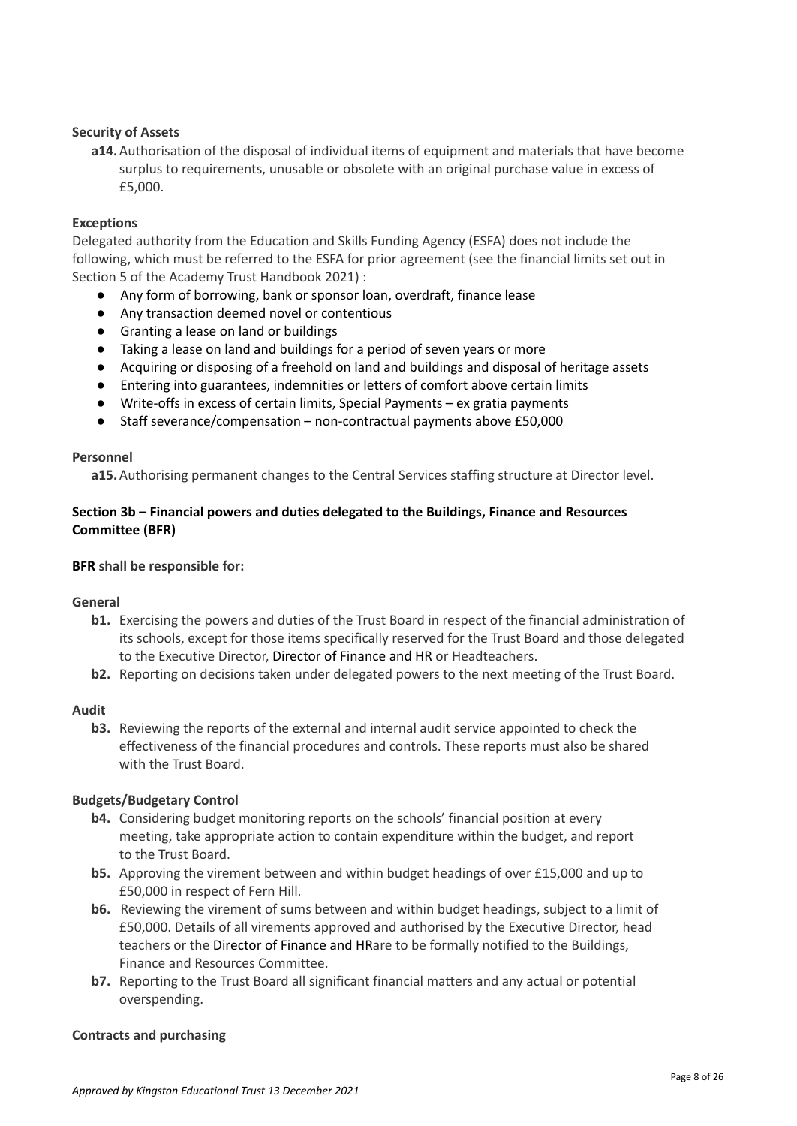# <span id="page-7-0"></span>**Security of Assets**

**a14.**Authorisation of the disposal of individual items of equipment and materials that have become surplus to requirements, unusable or obsolete with an original purchase value in excess of £5,000.

### **Exceptions**

Delegated authority from the Education and Skills Funding Agency (ESFA) does not include the following, which must be referred to the ESFA for prior agreement (see the financial limits set out in Section 5 of the Academy Trust Handbook 2021) :

- Any form of borrowing, bank or sponsor loan, overdraft, finance lease
- Any transaction deemed novel or contentious
- Granting a lease on land or buildings
- Taking a lease on land and buildings for a period of seven years or more
- Acquiring or disposing of a freehold on land and buildings and disposal of heritage assets
- Entering into guarantees, indemnities or letters of comfort above certain limits
- Write-offs in excess of certain limits, Special Payments ex gratia payments
- Staff severance/compensation non-contractual payments above £50,000

#### **Personnel**

**a15.**Authorising permanent changes to the Central Services staffing structure at Director level.

# <span id="page-7-1"></span>**Section 3b – Financial powers and duties delegated to the Buildings, Finance and Resources Committee (BFR)**

### **BFR shall be responsible for:**

#### **General**

- **b1.** Exercising the powers and duties of the Trust Board in respect of the financial administration of its schools, except for those items specifically reserved for the Trust Board and those delegated to the Executive Director, Director of Finance and HR or Headteachers.
- **b2.** Reporting on decisions taken under delegated powers to the next meeting of the Trust Board.

#### **Audit**

**b3.** Reviewing the reports of the external and internal audit service appointed to check the effectiveness of the financial procedures and controls. These reports must also be shared with the Trust Board.

#### **Budgets/Budgetary Control**

- **b4.** Considering budget monitoring reports on the schools' financial position at every meeting, take appropriate action to contain expenditure within the budget, and report to the Trust Board.
- **b5.** Approving the virement between and within budget headings of over £15,000 and up to £50,000 in respect of Fern Hill.
- **b6.** Reviewing the virement of sums between and within budget headings, subject to a limit of £50,000. Details of all virements approved and authorised by the Executive Director, head teachers or the Director of Finance and HRare to be formally notified to the Buildings, Finance and Resources Committee.
- **b7.** Reporting to the Trust Board all significant financial matters and any actual or potential overspending.

#### **Contracts and purchasing**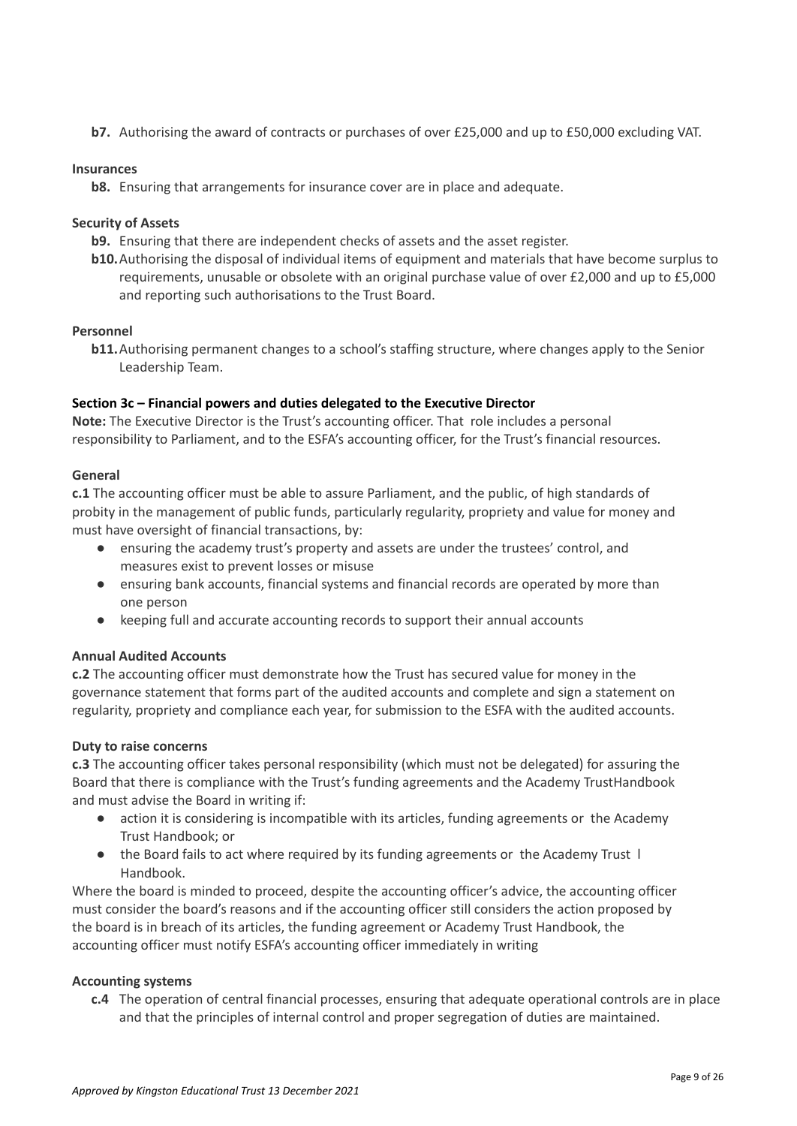**b7.** Authorising the award of contracts or purchases of over £25,000 and up to £50,000 excluding VAT.

# **Insurances**

**b8.** Ensuring that arrangements for insurance cover are in place and adequate.

# **Security of Assets**

- **b9.** Ensuring that there are independent checks of assets and the asset register.
- **b10.**Authorising the disposal of individual items of equipment and materials that have become surplus to requirements, unusable or obsolete with an original purchase value of over £2,000 and up to £5,000 and reporting such authorisations to the Trust Board.

### **Personnel**

**b11.** Authorising permanent changes to a school's staffing structure, where changes apply to the Senior Leadership Team.

### <span id="page-8-0"></span>**Section 3c – Financial powers and duties delegated to the Executive Director**

**Note:** The Executive Director is the Trust's accounting officer. That role includes a personal responsibility to Parliament, and to the ESFA's accounting officer, for the Trust's financial resources.

### **General**

**c.1** The accounting officer must be able to assure Parliament, and the public, of high standards of probity in the management of public funds, particularly regularity, propriety and value for money and must have oversight of financial transactions, by:

- ensuring the academy trust's property and assets are under the trustees' control, and measures exist to prevent losses or misuse
- ensuring bank accounts, financial systems and financial records are operated by more than one person
- keeping full and accurate accounting records to support their annual accounts

# **Annual Audited Accounts**

**c.2** The accounting officer must demonstrate how the Trust has secured value for money in the governance statement that forms part of the audited accounts and complete and sign a statement on regularity, propriety and compliance each year, for submission to the ESFA with the audited accounts.

#### **Duty to raise concerns**

**c.3** The accounting officer takes personal responsibility (which must not be delegated) for assuring the Board that there is compliance with the Trust's funding agreements and the Academy TrustHandbook and must advise the Board in writing if:

- action it is considering is incompatible with its articles, funding agreements or the Academy Trust Handbook; or
- the Board fails to act where required by its funding agreements or the Academy Trust l Handbook.

Where the board is minded to proceed, despite the accounting officer's advice, the accounting officer must consider the board's reasons and if the accounting officer still considers the action proposed by the board is in breach of its articles, the funding agreement or Academy Trust Handbook, the accounting officer must notify ESFA's accounting officer immediately in writing

# **Accounting systems**

**c.4** The operation of central financial processes, ensuring that adequate operational controls are in place and that the principles of internal control and proper segregation of duties are maintained.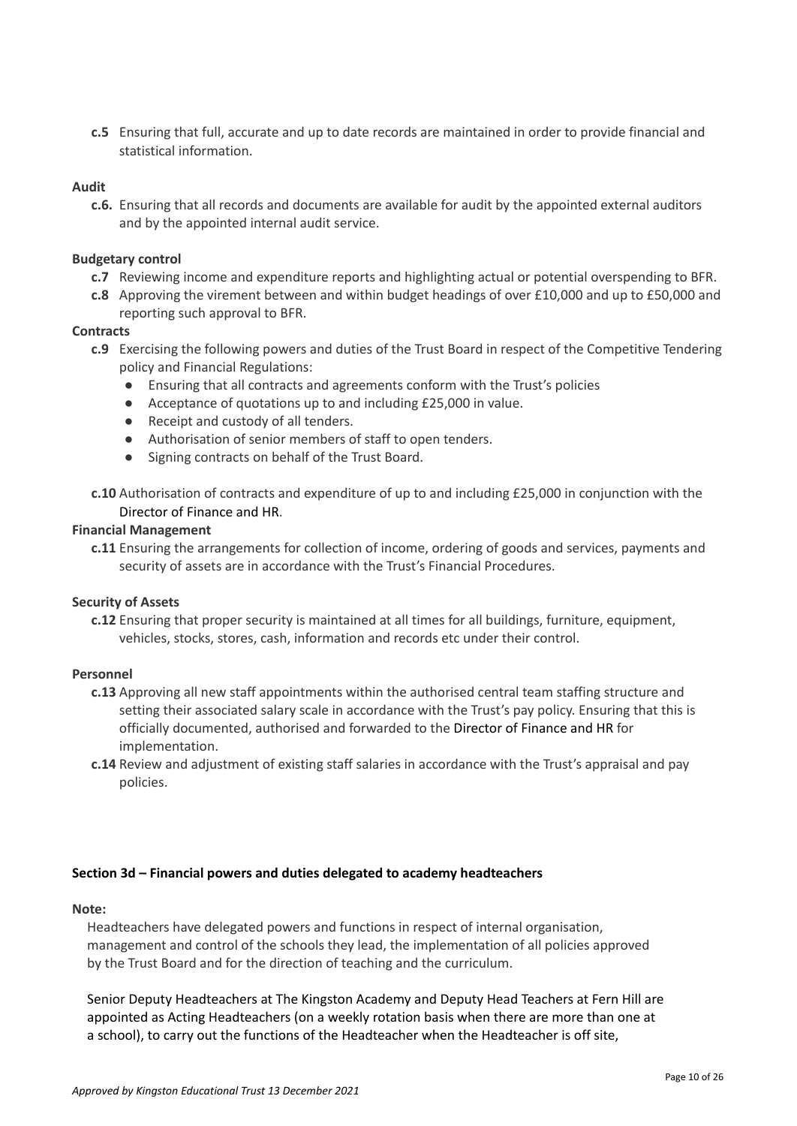**c.5** Ensuring that full, accurate and up to date records are maintained in order to provide financial and statistical information.

### **Audit**

**c.6.** Ensuring that all records and documents are available for audit by the appointed external auditors and by the appointed internal audit service.

### **Budgetary control**

- **c.7** Reviewing income and expenditure reports and highlighting actual or potential overspending to BFR.
- **c.8** Approving the virement between and within budget headings of over £10,000 and up to £50,000 and reporting such approval to BFR.

### **Contracts**

- **c.9** Exercising the following powers and duties of the Trust Board in respect of the Competitive Tendering policy and Financial Regulations:
	- Ensuring that all contracts and agreements conform with the Trust's policies
	- Acceptance of quotations up to and including £25,000 in value.
	- Receipt and custody of all tenders.
	- Authorisation of senior members of staff to open tenders.
	- Signing contracts on behalf of the Trust Board.
- **c.10** Authorisation of contracts and expenditure of up to and including £25,000 in conjunction with the Director of Finance and HR.

#### **Financial Management**

**c.11** Ensuring the arrangements for collection of income, ordering of goods and services, payments and security of assets are in accordance with the Trust's Financial Procedures.

#### **Security of Assets**

**c.12** Ensuring that proper security is maintained at all times for all buildings, furniture, equipment, vehicles, stocks, stores, cash, information and records etc under their control.

# **Personnel**

- **c.13** Approving all new staff appointments within the authorised central team staffing structure and setting their associated salary scale in accordance with the Trust's pay policy. Ensuring that this is officially documented, authorised and forwarded to the Director of Finance and HR for implementation.
- **c.14** Review and adjustment of existing staff salaries in accordance with the Trust's appraisal and pay policies.

#### <span id="page-9-0"></span>**Section 3d – Financial powers and duties delegated to academy headteachers**

# **Note:**

Headteachers have delegated powers and functions in respect of internal organisation, management and control of the schools they lead, the implementation of all policies approved by the Trust Board and for the direction of teaching and the curriculum.

Senior Deputy Headteachers at The Kingston Academy and Deputy Head Teachers at Fern Hill are appointed as Acting Headteachers (on a weekly rotation basis when there are more than one at a school), to carry out the functions of the Headteacher when the Headteacher is off site,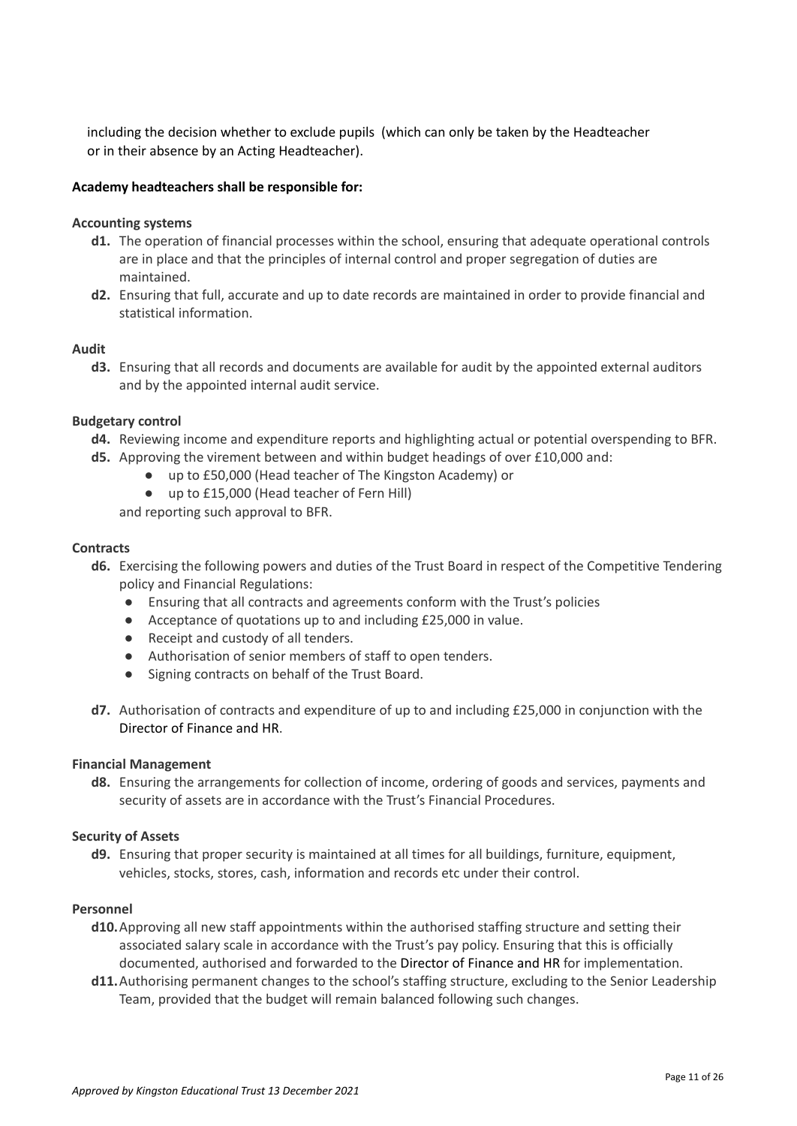including the decision whether to exclude pupils (which can only be taken by the Headteacher or in their absence by an Acting Headteacher).

## **Academy headteachers shall be responsible for:**

#### **Accounting systems**

- **d1.** The operation of financial processes within the school, ensuring that adequate operational controls are in place and that the principles of internal control and proper segregation of duties are maintained.
- **d2.** Ensuring that full, accurate and up to date records are maintained in order to provide financial and statistical information.

### **Audit**

**d3.** Ensuring that all records and documents are available for audit by the appointed external auditors and by the appointed internal audit service.

### **Budgetary control**

- **d4.** Reviewing income and expenditure reports and highlighting actual or potential overspending to BFR.
- **d5.** Approving the virement between and within budget headings of over £10,000 and:
	- up to £50,000 (Head teacher of The Kingston Academy) or
	- up to £15,000 (Head teacher of Fern Hill)

and reporting such approval to BFR.

#### **Contracts**

- **d6.** Exercising the following powers and duties of the Trust Board in respect of the Competitive Tendering policy and Financial Regulations:
	- Ensuring that all contracts and agreements conform with the Trust's policies
	- Acceptance of quotations up to and including £25,000 in value.
	- Receipt and custody of all tenders.
	- Authorisation of senior members of staff to open tenders.
	- Signing contracts on behalf of the Trust Board.
- **d7.** Authorisation of contracts and expenditure of up to and including £25,000 in conjunction with the Director of Finance and HR.

#### **Financial Management**

**d8.** Ensuring the arrangements for collection of income, ordering of goods and services, payments and security of assets are in accordance with the Trust's Financial Procedures.

#### **Security of Assets**

**d9.** Ensuring that proper security is maintained at all times for all buildings, furniture, equipment, vehicles, stocks, stores, cash, information and records etc under their control.

#### **Personnel**

- **d10.**Approving all new staff appointments within the authorised staffing structure and setting their associated salary scale in accordance with the Trust's pay policy. Ensuring that this is officially documented, authorised and forwarded to the Director of Finance and HR for implementation.
- **d11.**Authorising permanent changes to the school's staffing structure, excluding to the Senior Leadership Team, provided that the budget will remain balanced following such changes.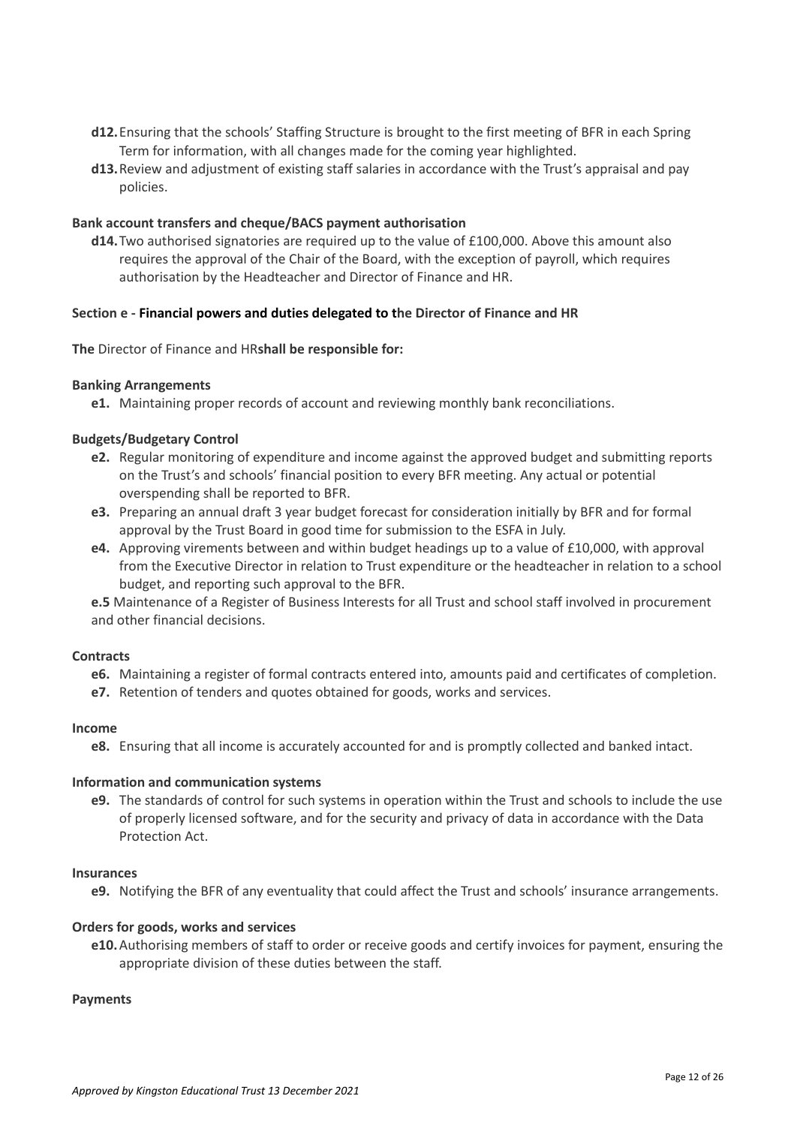- **d12.**Ensuring that the schools' Staffing Structure is brought to the first meeting of BFR in each Spring Term for information, with all changes made for the coming year highlighted.
- **d13.**Review and adjustment of existing staff salaries in accordance with the Trust's appraisal and pay policies.

## **Bank account transfers and cheque/BACS payment authorisation**

**d14.**Two authorised signatories are required up to the value of £100,000. Above this amount also requires the approval of the Chair of the Board, with the exception of payroll, which requires authorisation by the Headteacher and Director of Finance and HR.

#### <span id="page-11-0"></span>**Section e - Financial powers and duties delegated to the Director of Finance and HR**

**The** Director of Finance and HR**shall be responsible for:**

#### **Banking Arrangements**

**e1.** Maintaining proper records of account and reviewing monthly bank reconciliations.

### **Budgets/Budgetary Control**

- **e2.** Regular monitoring of expenditure and income against the approved budget and submitting reports on the Trust's and schools' financial position to every BFR meeting. Any actual or potential overspending shall be reported to BFR.
- **e3.** Preparing an annual draft 3 year budget forecast for consideration initially by BFR and for formal approval by the Trust Board in good time for submission to the ESFA in July.
- **e4.** Approving virements between and within budget headings up to a value of £10,000, with approval from the Executive Director in relation to Trust expenditure or the headteacher in relation to a school budget, and reporting such approval to the BFR.

**e.5** Maintenance of a Register of Business Interests for all Trust and school staff involved in procurement and other financial decisions.

#### **Contracts**

- **e6.** Maintaining a register of formal contracts entered into, amounts paid and certificates of completion.
- **e7.** Retention of tenders and quotes obtained for goods, works and services.

### **Income**

**e8.** Ensuring that all income is accurately accounted for and is promptly collected and banked intact.

#### **Information and communication systems**

**e9.** The standards of control for such systems in operation within the Trust and schools to include the use of properly licensed software, and for the security and privacy of data in accordance with the Data Protection Act.

#### **Insurances**

**e9.** Notifying the BFR of any eventuality that could affect the Trust and schools' insurance arrangements.

#### **Orders for goods, works and services**

**e10.**Authorising members of staff to order or receive goods and certify invoices for payment, ensuring the appropriate division of these duties between the staff.

#### **Payments**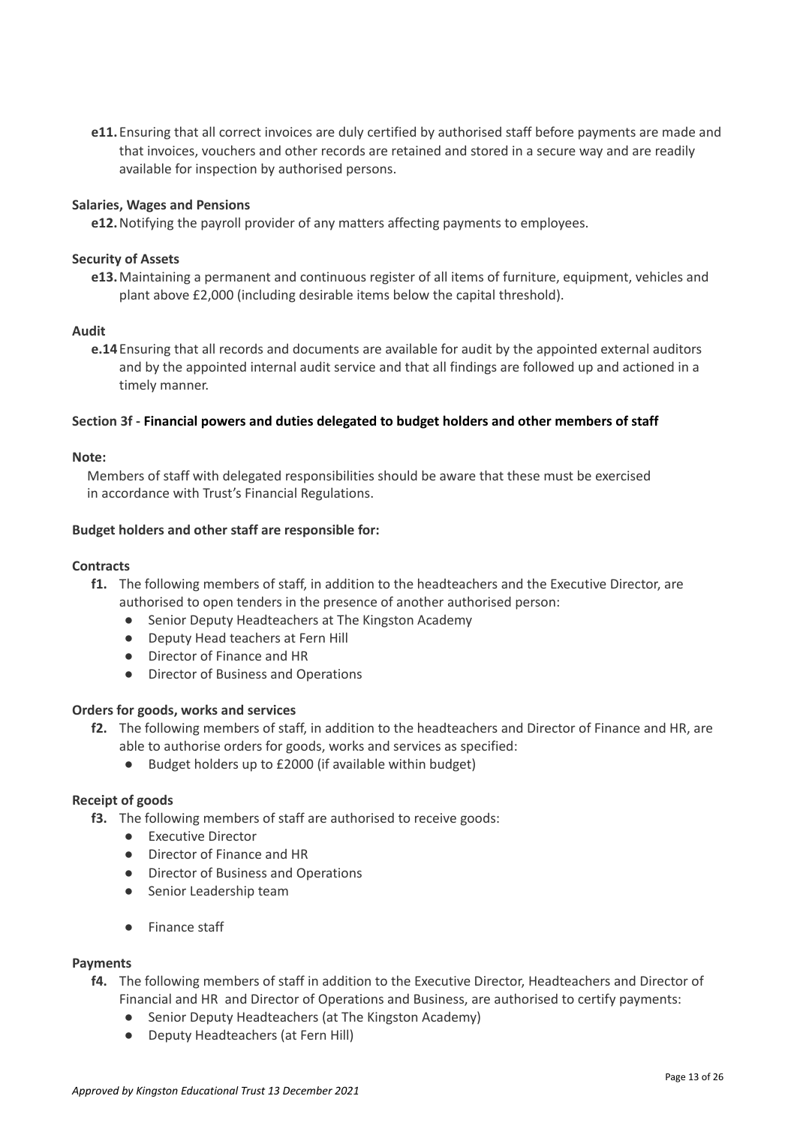**e11.** Ensuring that all correct invoices are duly certified by authorised staff before payments are made and that invoices, vouchers and other records are retained and stored in a secure way and are readily available for inspection by authorised persons.

## **Salaries, Wages and Pensions**

**e12.**Notifying the payroll provider of any matters affecting payments to employees.

### **Security of Assets**

**e13.**Maintaining a permanent and continuous register of all items of furniture, equipment, vehicles and plant above £2,000 (including desirable items below the capital threshold).

#### **Audit**

**e.14** Ensuring that all records and documents are available for audit by the appointed external auditors and by the appointed internal audit service and that all findings are followed up and actioned in a timely manner.

### <span id="page-12-0"></span>**Section 3f - Financial powers and duties delegated to budget holders and other members of staff**

#### **Note:**

Members of staff with delegated responsibilities should be aware that these must be exercised in accordance with Trust's Financial Regulations.

### **Budget holders and other staff are responsible for:**

#### **Contracts**

- **f1.** The following members of staff, in addition to the headteachers and the Executive Director, are authorised to open tenders in the presence of another authorised person:
	- Senior Deputy Headteachers at The Kingston Academy
	- Deputy Head teachers at Fern Hill
	- Director of Finance and HR
	- Director of Business and Operations

# **Orders for goods, works and services**

- **f2.** The following members of staff, in addition to the headteachers and Director of Finance and HR, are able to authorise orders for goods, works and services as specified:
	- Budget holders up to £2000 (if available within budget)

# **Receipt of goods**

- **f3.** The following members of staff are authorised to receive goods:
	- Executive Director
	- Director of Finance and HR
	- Director of Business and Operations
	- Senior Leadership team
	- Finance staff

#### **Payments**

- **f4.** The following members of staff in addition to the Executive Director, Headteachers and Director of Financial and HR and Director of Operations and Business, are authorised to certify payments:
	- Senior Deputy Headteachers (at The Kingston Academy)
	- Deputy Headteachers (at Fern Hill)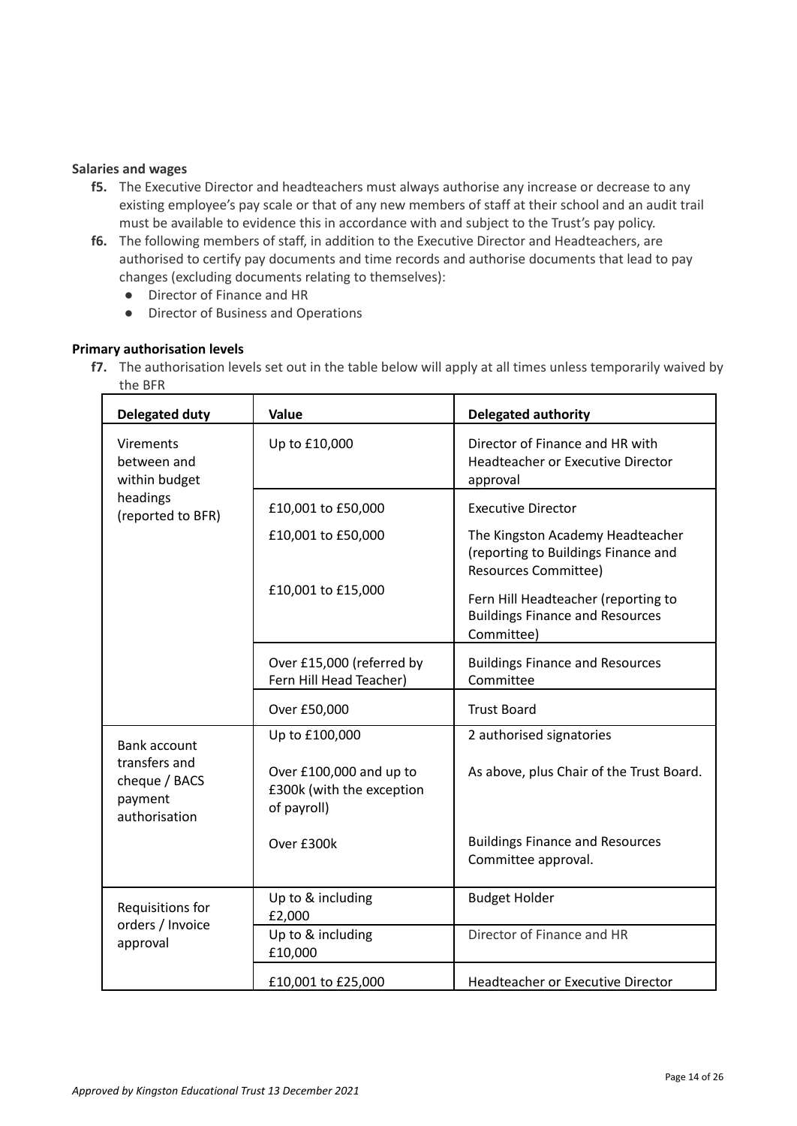## **Salaries and wages**

- **f5.** The Executive Director and headteachers must always authorise any increase or decrease to any existing employee's pay scale or that of any new members of staff at their school and an audit trail must be available to evidence this in accordance with and subject to the Trust's pay policy.
- **f6.** The following members of staff, in addition to the Executive Director and Headteachers, are authorised to certify pay documents and time records and authorise documents that lead to pay changes (excluding documents relating to themselves):
	- Director of Finance and HR
	- Director of Business and Operations

# <span id="page-13-0"></span>**Primary authorisation levels**

**f7.** The authorisation levels set out in the table below will apply at all times unless temporarily waived by the BFR

| <b>Delegated duty</b>                                      | Value                                                               | <b>Delegated authority</b>                                                                             |
|------------------------------------------------------------|---------------------------------------------------------------------|--------------------------------------------------------------------------------------------------------|
| Virements<br>between and<br>within budget                  | Up to £10,000                                                       | Director of Finance and HR with<br>Headteacher or Executive Director<br>approval                       |
| headings<br>(reported to BFR)                              | £10,001 to £50,000                                                  | <b>Executive Director</b>                                                                              |
|                                                            | £10,001 to £50,000                                                  | The Kingston Academy Headteacher<br>(reporting to Buildings Finance and<br><b>Resources Committee)</b> |
|                                                            | £10,001 to £15,000                                                  | Fern Hill Headteacher (reporting to<br><b>Buildings Finance and Resources</b><br>Committee)            |
|                                                            | Over £15,000 (referred by<br>Fern Hill Head Teacher)                | <b>Buildings Finance and Resources</b><br>Committee                                                    |
|                                                            | Over £50,000                                                        | <b>Trust Board</b>                                                                                     |
| <b>Bank account</b>                                        | Up to £100,000                                                      | 2 authorised signatories                                                                               |
| transfers and<br>cheque / BACS<br>payment<br>authorisation | Over £100,000 and up to<br>£300k (with the exception<br>of payroll) | As above, plus Chair of the Trust Board.                                                               |
|                                                            | Over £300k                                                          | <b>Buildings Finance and Resources</b><br>Committee approval.                                          |
| Requisitions for                                           | Up to & including<br>£2,000                                         | <b>Budget Holder</b>                                                                                   |
| orders / Invoice<br>approval                               | Up to & including<br>£10,000                                        | Director of Finance and HR                                                                             |
|                                                            | £10,001 to £25,000                                                  | Headteacher or Executive Director                                                                      |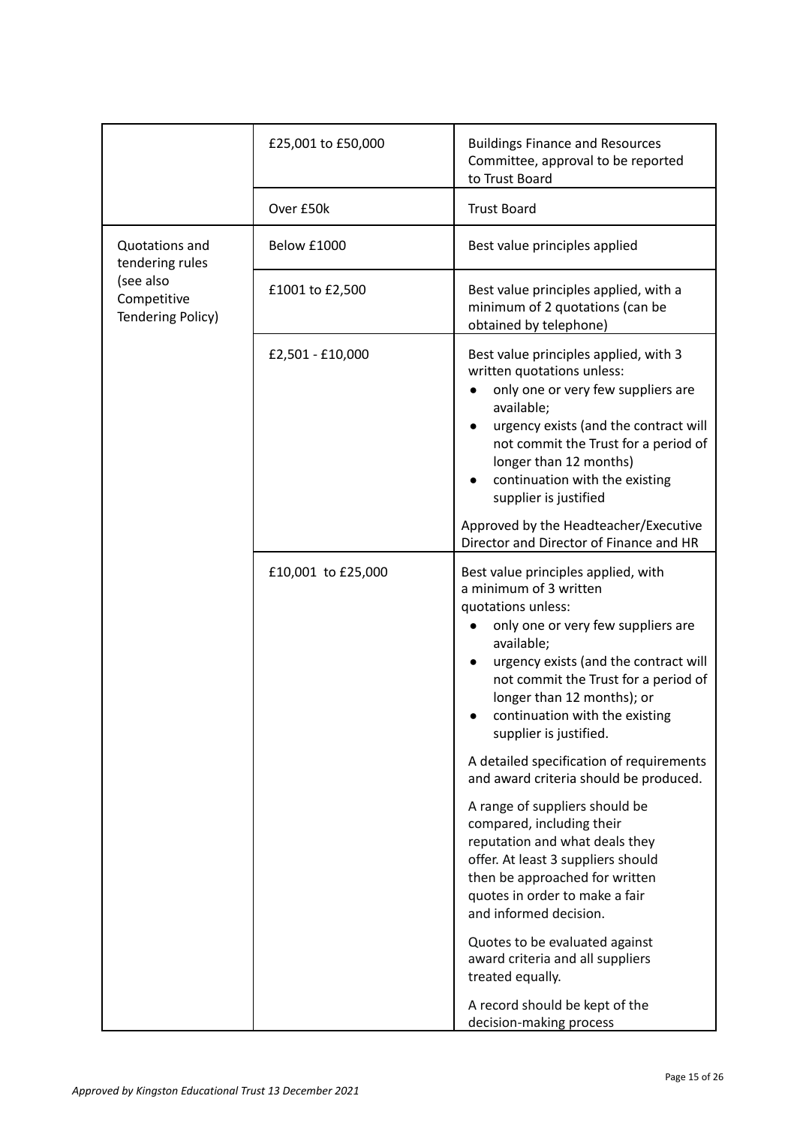|                                               | £25,001 to £50,000 | <b>Buildings Finance and Resources</b><br>Committee, approval to be reported<br>to Trust Board                                                                                                                                                                                                                                                                                                                                                                                                                                                                                                                                                                                                                                                                                                       |
|-----------------------------------------------|--------------------|------------------------------------------------------------------------------------------------------------------------------------------------------------------------------------------------------------------------------------------------------------------------------------------------------------------------------------------------------------------------------------------------------------------------------------------------------------------------------------------------------------------------------------------------------------------------------------------------------------------------------------------------------------------------------------------------------------------------------------------------------------------------------------------------------|
|                                               | Over £50k          | <b>Trust Board</b>                                                                                                                                                                                                                                                                                                                                                                                                                                                                                                                                                                                                                                                                                                                                                                                   |
| Quotations and<br>tendering rules             | Below £1000        | Best value principles applied                                                                                                                                                                                                                                                                                                                                                                                                                                                                                                                                                                                                                                                                                                                                                                        |
| (see also<br>Competitive<br>Tendering Policy) | £1001 to £2,500    | Best value principles applied, with a<br>minimum of 2 quotations (can be<br>obtained by telephone)                                                                                                                                                                                                                                                                                                                                                                                                                                                                                                                                                                                                                                                                                                   |
|                                               | £2,501 - £10,000   | Best value principles applied, with 3<br>written quotations unless:<br>only one or very few suppliers are<br>available;<br>urgency exists (and the contract will<br>not commit the Trust for a period of<br>longer than 12 months)<br>continuation with the existing<br>supplier is justified<br>Approved by the Headteacher/Executive<br>Director and Director of Finance and HR                                                                                                                                                                                                                                                                                                                                                                                                                    |
|                                               | £10,001 to £25,000 | Best value principles applied, with<br>a minimum of 3 written<br>quotations unless:<br>only one or very few suppliers are<br>available;<br>urgency exists (and the contract will<br>not commit the Trust for a period of<br>longer than 12 months); or<br>continuation with the existing<br>supplier is justified.<br>A detailed specification of requirements<br>and award criteria should be produced.<br>A range of suppliers should be<br>compared, including their<br>reputation and what deals they<br>offer. At least 3 suppliers should<br>then be approached for written<br>quotes in order to make a fair<br>and informed decision.<br>Quotes to be evaluated against<br>award criteria and all suppliers<br>treated equally.<br>A record should be kept of the<br>decision-making process |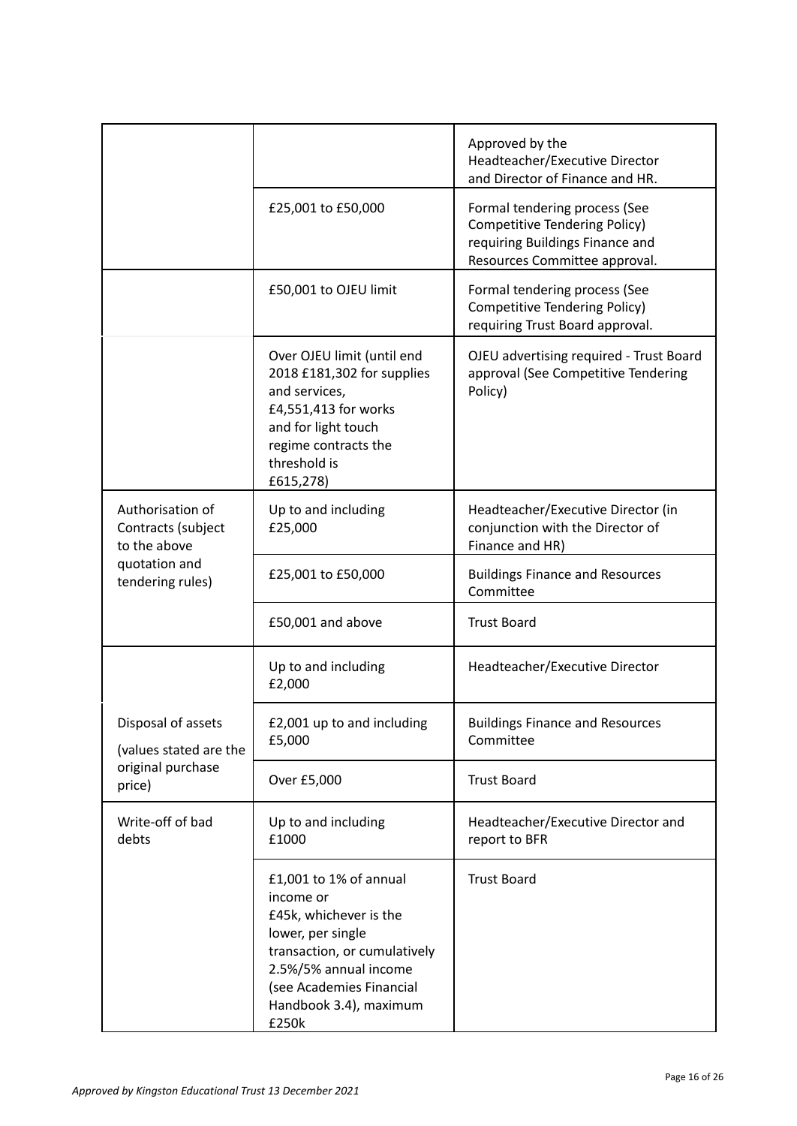|                                                        |                                                                                                                                                                                                            | Approved by the<br>Headteacher/Executive Director<br>and Director of Finance and HR.                                               |
|--------------------------------------------------------|------------------------------------------------------------------------------------------------------------------------------------------------------------------------------------------------------------|------------------------------------------------------------------------------------------------------------------------------------|
|                                                        | £25,001 to £50,000                                                                                                                                                                                         | Formal tendering process (See<br>Competitive Tendering Policy)<br>requiring Buildings Finance and<br>Resources Committee approval. |
|                                                        | £50,001 to OJEU limit                                                                                                                                                                                      | Formal tendering process (See<br>Competitive Tendering Policy)<br>requiring Trust Board approval.                                  |
|                                                        | Over OJEU limit (until end<br>2018 £181,302 for supplies<br>and services,<br>£4,551,413 for works<br>and for light touch<br>regime contracts the<br>threshold is<br>£615,278)                              | OJEU advertising required - Trust Board<br>approval (See Competitive Tendering<br>Policy)                                          |
| Authorisation of<br>Contracts (subject<br>to the above | Up to and including<br>£25,000                                                                                                                                                                             | Headteacher/Executive Director (in<br>conjunction with the Director of<br>Finance and HR)                                          |
| quotation and<br>tendering rules)                      | £25,001 to £50,000                                                                                                                                                                                         | <b>Buildings Finance and Resources</b><br>Committee                                                                                |
|                                                        | £50,001 and above                                                                                                                                                                                          | <b>Trust Board</b>                                                                                                                 |
|                                                        | Up to and including<br>£2,000                                                                                                                                                                              | Headteacher/Executive Director                                                                                                     |
| Disposal of assets<br>(values stated are the           | £2,001 up to and including<br>£5,000                                                                                                                                                                       | <b>Buildings Finance and Resources</b><br>Committee                                                                                |
| original purchase<br>price)                            | Over £5,000                                                                                                                                                                                                | <b>Trust Board</b>                                                                                                                 |
| Write-off of bad<br>debts                              | Up to and including<br>£1000                                                                                                                                                                               | Headteacher/Executive Director and<br>report to BFR                                                                                |
|                                                        | £1,001 to 1% of annual<br>income or<br>£45k, whichever is the<br>lower, per single<br>transaction, or cumulatively<br>2.5%/5% annual income<br>(see Academies Financial<br>Handbook 3.4), maximum<br>£250k | <b>Trust Board</b>                                                                                                                 |